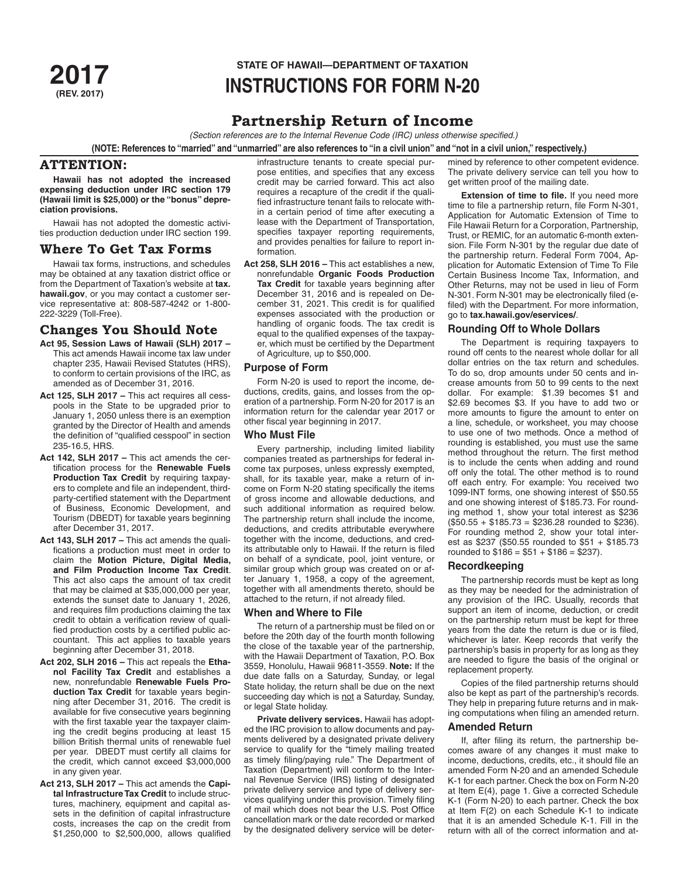# **STATE OF HAWAII—DEPARTMENT OF TAXATION 2017 (REV. 2017) INSTRUCTIONS FOR FORM N-20**

# **Partnership Return of Income**

*(Section references are to the Internal Revenue Code (IRC) unless otherwise specified.)*

**(NOTE: References to "married" and "unmarried" are also references to "in a civil union" and "not in a civil union," respectively.)**

# **ATTENTION:**

**Hawaii has not adopted the increased expensing deduction under IRC section 179 (Hawaii limit is \$25,000) or the "bonus" depreciation provisions.**

Hawaii has not adopted the domestic activities production deduction under IRC section 199.

# **Where To Get Tax Forms**

Hawaii tax forms, instructions, and schedules may be obtained at any taxation district office or from the Department of Taxation's website at **tax. hawaii.gov**, or you may contact a customer service representative at: 808-587-4242 or 1-800- 222-3229 (Toll-Free).

# **Changes You Should Note**

- **Act 95, Session Laws of Hawaii (SLH) 2017**  This act amends Hawaii income tax law under chapter 235, Hawaii Revised Statutes (HRS), to conform to certain provisions of the IRC, as amended as of December 31, 2016.
- **Act 125, SLH 2017** This act requires all cesspools in the State to be upgraded prior to January 1, 2050 unless there is an exemption granted by the Director of Health and amends the definition of "qualified cesspool" in section 235-16.5, HRS.
- **Act 142, SLH 2017 –** This act amends the certification process for the **Renewable Fuels Production Tax Credit** by requiring taxpayers to complete and file an independent, thirdparty-certified statement with the Department of Business, Economic Development, and Tourism (DBEDT) for taxable years beginning after December 31, 2017.
- **Act 143, SLH 2017 –** This act amends the qualifications a production must meet in order to claim the **Motion Picture, Digital Media, and Film Production Income Tax Credit**. This act also caps the amount of tax credit that may be claimed at \$35,000,000 per year, extends the sunset date to January 1, 2026, and requires film productions claiming the tax credit to obtain a verification review of qualified production costs by a certified public accountant. This act applies to taxable years beginning after December 31, 2018.
- **Act 202, SLH 2016 –** This act repeals the **Ethanol Facility Tax Credit** and establishes a new, nonrefundable **Renewable Fuels Production Tax Credit** for taxable years beginning after December 31, 2016. The credit is available for five consecutive years beginning with the first taxable year the taxpayer claiming the credit begins producing at least 15 billion British thermal units of renewable fuel per year. DBEDT must certify all claims for the credit, which cannot exceed \$3,000,000 in any given year.
- **Act 213, SLH 2017** This act amends the **Capital Infrastructure Tax Credit** to include structures, machinery, equipment and capital assets in the definition of capital infrastructure costs, increases the cap on the credit from \$1,250,000 to \$2,500,000, allows qualified

infrastructure tenants to create special purpose entities, and specifies that any excess credit may be carried forward. This act also requires a recapture of the credit if the qualified infrastructure tenant fails to relocate within a certain period of time after executing a lease with the Department of Transportation, specifies taxpayer reporting requirements, and provides penalties for failure to report information.

**Act 258, SLH 2016 –** This act establishes a new, nonrefundable **Organic Foods Production Tax Credit** for taxable years beginning after December 31, 2016 and is repealed on December 31, 2021. This credit is for qualified expenses associated with the production or handling of organic foods. The tax credit is equal to the qualified expenses of the taxpayer, which must be certified by the Department of Agriculture, up to \$50,000.

# **Purpose of Form**

Form N-20 is used to report the income, deductions, credits, gains, and losses from the operation of a partnership. Form N-20 for 2017 is an information return for the calendar year 2017 or other fiscal year beginning in 2017.

# **Who Must File**

Every partnership, including limited liability companies treated as partnerships for federal income tax purposes, unless expressly exempted, shall, for its taxable year, make a return of income on Form N-20 stating specifically the items of gross income and allowable deductions, and such additional information as required below. The partnership return shall include the income, deductions, and credits attributable everywhere together with the income, deductions, and credits attributable only to Hawaii. If the return is filed on behalf of a syndicate, pool, joint venture, or similar group which group was created on or after January 1, 1958, a copy of the agreement, together with all amendments thereto, should be attached to the return, if not already filed.

# **When and Where to File**

The return of a partnership must be filed on or before the 20th day of the fourth month following the close of the taxable year of the partnership, with the Hawaii Department of Taxation, P.O. Box 3559, Honolulu, Hawaii 96811-3559. **Note:** If the due date falls on a Saturday, Sunday, or legal State holiday, the return shall be due on the next succeeding day which is not a Saturday, Sunday, or legal State holiday.

**Private delivery services.** Hawaii has adopted the IRC provision to allow documents and payments delivered by a designated private delivery service to qualify for the "timely mailing treated as timely filing/paying rule." The Department of Taxation (Department) will conform to the Internal Revenue Service (IRS) listing of designated private delivery service and type of delivery services qualifying under this provision. Timely filing of mail which does not bear the U.S. Post Office cancellation mark or the date recorded or marked by the designated delivery service will be determined by reference to other competent evidence. The private delivery service can tell you how to get written proof of the mailing date.

**Extension of time to file.** If you need more time to file a partnership return, file Form N-301, Application for Automatic Extension of Time to File Hawaii Return for a Corporation, Partnership, Trust, or REMIC, for an automatic 6-month extension. File Form N-301 by the regular due date of the partnership return. Federal Form 7004, Application for Automatic Extension of Time To File Certain Business Income Tax, Information, and Other Returns, may not be used in lieu of Form N-301. Form N-301 may be electronically filed (efiled) with the Department. For more information, go to **tax.hawaii.gov/eservices/**.

# **Rounding Off to Whole Dollars**

The Department is requiring taxpayers to round off cents to the nearest whole dollar for all dollar entries on the tax return and schedules. To do so, drop amounts under 50 cents and increase amounts from 50 to 99 cents to the next dollar. For example: \$1.39 becomes \$1 and \$2.69 becomes \$3. If you have to add two or more amounts to figure the amount to enter on a line, schedule, or worksheet, you may choose to use one of two methods. Once a method of rounding is established, you must use the same method throughout the return. The first method is to include the cents when adding and round off only the total. The other method is to round off each entry. For example: You received two 1099-INT forms, one showing interest of \$50.55 and one showing interest of \$185.73. For rounding method 1, show your total interest as \$236  $($50.55 + $185.73 = $236.28$  rounded to \$236). For rounding method 2, show your total interest as \$237 (\$50.55 rounded to \$51 + \$185.73 rounded to  $$186 = $51 + $186 = $237$ .

# **Recordkeeping**

The partnership records must be kept as long as they may be needed for the administration of any provision of the IRC. Usually, records that support an item of income, deduction, or credit on the partnership return must be kept for three years from the date the return is due or is filed, whichever is later. Keep records that verify the partnership's basis in property for as long as they are needed to figure the basis of the original or replacement property.

Copies of the filed partnership returns should also be kept as part of the partnership's records. They help in preparing future returns and in making computations when filing an amended return.

### **Amended Return**

If, after filing its return, the partnership becomes aware of any changes it must make to income, deductions, credits, etc., it should file an amended Form N-20 and an amended Schedule K-1 for each partner. Check the box on Form N-20 at Item E(4), page 1. Give a corrected Schedule K-1 (Form N-20) to each partner. Check the box at Item F(2) on each Schedule K-1 to indicate that it is an amended Schedule K-1. Fill in the return with all of the correct information and at-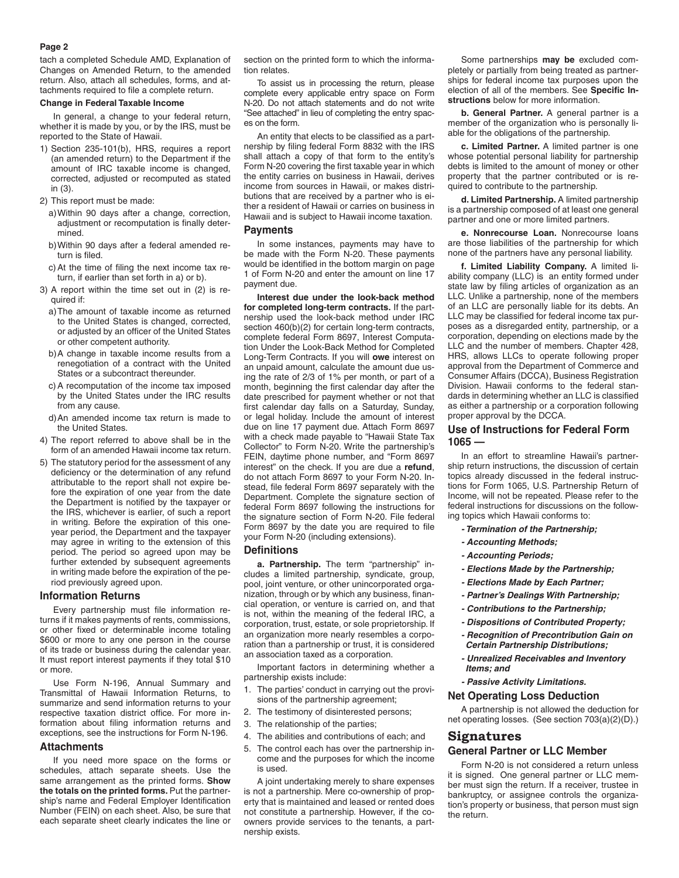### **Page 2**

tach a completed Schedule AMD, Explanation of Changes on Amended Return, to the amended return. Also, attach all schedules, forms, and attachments required to file a complete return.

### **Change in Federal Taxable Income**

In general, a change to your federal return, whether it is made by you, or by the IRS, must be reported to the State of Hawaii.

1) Section 235-101(b), HRS, requires a report (an amended return) to the Department if the amount of IRC taxable income is changed, corrected, adjusted or recomputed as stated in (3).

2) This report must be made:

- a)Within 90 days after a change, correction, adjustment or recomputation is finally determined.
- b)Within 90 days after a federal amended return is filed.
- c)At the time of filing the next income tax return, if earlier than set forth in a) or b).
- 3) A report within the time set out in (2) is required if:
	- a)The amount of taxable income as returned to the United States is changed, corrected, or adjusted by an officer of the United States or other competent authority.
	- b)A change in taxable income results from a renegotiation of a contract with the United States or a subcontract thereunder.
	- c)A recomputation of the income tax imposed by the United States under the IRC results from any cause.
	- d)An amended income tax return is made to the United States.
- 4) The report referred to above shall be in the form of an amended Hawaii income tax return.
- 5) The statutory period for the assessment of any deficiency or the determination of any refund attributable to the report shall not expire before the expiration of one year from the date the Department is notified by the taxpayer or the IRS, whichever is earlier, of such a report in writing. Before the expiration of this oneyear period, the Department and the taxpayer may agree in writing to the extension of this period. The period so agreed upon may be further extended by subsequent agreements in writing made before the expiration of the period previously agreed upon.

### **Information Returns**

Every partnership must file information returns if it makes payments of rents, commissions, or other fixed or determinable income totaling \$600 or more to any one person in the course of its trade or business during the calendar year. It must report interest payments if they total \$10 or more.

Use Form N-196, Annual Summary and Transmittal of Hawaii Information Returns, to summarize and send information returns to your respective taxation district office. For more information about filing information returns and exceptions, see the instructions for Form N-196.

#### **Attachments**

If you need more space on the forms or schedules, attach separate sheets. Use the same arrangement as the printed forms. **Show the totals on the printed forms.** Put the partnership's name and Federal Employer Identification Number (FEIN) on each sheet. Also, be sure that each separate sheet clearly indicates the line or

section on the printed form to which the information relates.

To assist us in processing the return, please complete every applicable entry space on Form N-20. Do not attach statements and do not write "See attached" in lieu of completing the entry spaces on the form.

An entity that elects to be classified as a partnership by filing federal Form 8832 with the IRS shall attach a copy of that form to the entity's Form N-20 covering the first taxable year in which the entity carries on business in Hawaii, derives income from sources in Hawaii, or makes distributions that are received by a partner who is either a resident of Hawaii or carries on business in Hawaii and is subject to Hawaii income taxation.

## **Payments**

In some instances, payments may have to be made with the Form N-20. These payments would be identified in the bottom margin on page 1 of Form N-20 and enter the amount on line 17 payment due.

**Interest due under the look-back method for completed long-term contracts.** If the partnership used the look-back method under IRC section 460(b)(2) for certain long-term contracts, complete federal Form 8697, Interest Computation Under the Look-Back Method for Completed Long-Term Contracts. If you will **owe** interest on an unpaid amount, calculate the amount due using the rate of 2/3 of 1% per month, or part of a month, beginning the first calendar day after the date prescribed for payment whether or not that first calendar day falls on a Saturday, Sunday, or legal holiday. Include the amount of interest due on line 17 payment due. Attach Form 8697 with a check made payable to "Hawaii State Tax Collector" to Form N-20. Write the partnership's FEIN, daytime phone number, and "Form 8697 interest" on the check. If you are due a **refund**, do not attach Form 8697 to your Form N-20. Instead, file federal Form 8697 separately with the Department. Complete the signature section of federal Form 8697 following the instructions for the signature section of Form N-20. File federal Form 8697 by the date you are required to file your Form N-20 (including extensions).

#### **Definitions**

**a. Partnership.** The term "partnership" includes a limited partnership, syndicate, group, pool, joint venture, or other unincorporated organization, through or by which any business, financial operation, or venture is carried on, and that is not, within the meaning of the federal IRC, a corporation, trust, estate, or sole proprietorship. If an organization more nearly resembles a corporation than a partnership or trust, it is considered an association taxed as a corporation.

Important factors in determining whether a partnership exists include:

- 1. The parties' conduct in carrying out the provisions of the partnership agreement;
- 2. The testimony of disinterested persons;
- 3. The relationship of the parties;
- 4. The abilities and contributions of each; and
- 5. The control each has over the partnership income and the purposes for which the income is used.

A joint undertaking merely to share expenses is not a partnership. Mere co-ownership of property that is maintained and leased or rented does not constitute a partnership. However, if the coowners provide services to the tenants, a partnership exists.

Some partnerships **may be** excluded completely or partially from being treated as partnerships for federal income tax purposes upon the election of all of the members. See **Specific Instructions** below for more information.

**b. General Partner.** A general partner is a member of the organization who is personally liable for the obligations of the partnership.

**c. Limited Partner.** A limited partner is one whose potential personal liability for partnership debts is limited to the amount of money or other property that the partner contributed or is required to contribute to the partnership.

**d. Limited Partnership.** A limited partnership is a partnership composed of at least one general partner and one or more limited partners.

**e. Nonrecourse Loan.** Nonrecourse loans are those liabilities of the partnership for which none of the partners have any personal liability.

**f. Limited Liability Company.** A limited liability company (LLC) is an entity formed under state law by filing articles of organization as an LLC. Unlike a partnership, none of the members of an LLC are personally liable for its debts. An LLC may be classified for federal income tax purposes as a disregarded entity, partnership, or a corporation, depending on elections made by the LLC and the number of members. Chapter 428, HRS, allows LLCs to operate following proper approval from the Department of Commerce and Consumer Affairs (DCCA), Business Registration Division. Hawaii conforms to the federal standards in determining whether an LLC is classified as either a partnership or a corporation following proper approval by the DCCA.

# **Use of Instructions for Federal Form 1065 —**

In an effort to streamline Hawaii's partnership return instructions, the discussion of certain topics already discussed in the federal instructions for Form 1065, U.S. Partnership Return of Income, will not be repeated. Please refer to the federal instructions for discussions on the following topics which Hawaii conforms to:

- *Termination of the Partnership;*
- *Accounting Methods;*
- *Accounting Periods;*
- *Elections Made by the Partnership;*
- *Elections Made by Each Partner;*
- *Partner's Dealings With Partnership;*
- *Contributions to the Partnership;*
- *Dispositions of Contributed Property;*
- *Recognition of Precontribution Gain on Certain Partnership Distributions;*
- *Unrealized Receivables and Inventory Items; and*
- *Passive Activity Limitations.*

### **Net Operating Loss Deduction**

A partnership is not allowed the deduction for net operating losses. (See section 703(a)(2)(D).)

# **Signatures**

# **General Partner or LLC Member**

Form N-20 is not considered a return unless it is signed. One general partner or LLC member must sign the return. If a receiver, trustee in bankruptcy, or assignee controls the organization's property or business, that person must sign the return.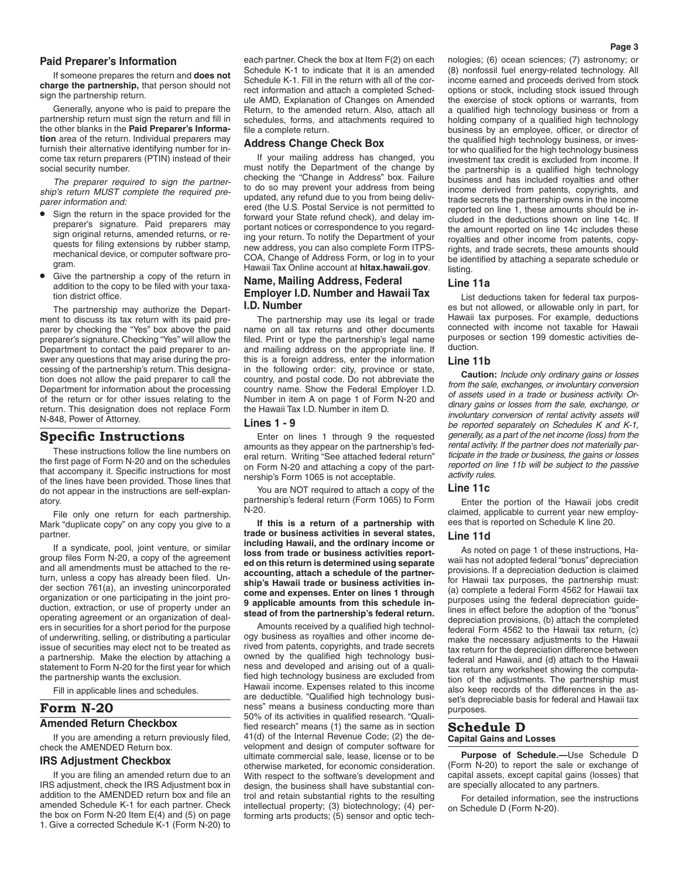### **Paid Preparer's Information**

If someone prepares the return and **does not charge the partnership,** that person should not sign the partnership return.

Generally, anyone who is paid to prepare the partnership return must sign the return and fill in the other blanks in the **Paid Preparer's Information** area of the return. Individual preparers may furnish their alternative identifying number for income tax return preparers (PTIN) instead of their social security number.

*The preparer required to sign the partnership's return MUST complete the required preparer information and:*

- Sign the return in the space provided for the preparer's signature. Paid preparers may sign original returns, amended returns, or requests for filing extensions by rubber stamp, mechanical device, or computer software program.
- Give the partnership a copy of the return in addition to the copy to be filed with your taxation district office.

The partnership may authorize the Department to discuss its tax return with its paid preparer by checking the "Yes" box above the paid preparer's signature. Checking "Yes" will allow the Department to contact the paid preparer to answer any questions that may arise during the processing of the partnership's return. This designation does not allow the paid preparer to call the Department for information about the processing of the return or for other issues relating to the return. This designation does not replace Form N-848, Power of Attorney.

# **Specific Instructions**

These instructions follow the line numbers on the first page of Form N-20 and on the schedules that accompany it. Specific instructions for most of the lines have been provided. Those lines that do not appear in the instructions are self-explanatory.

File only one return for each partnership. Mark "duplicate copy" on any copy you give to a partner.

If a syndicate, pool, joint venture, or similar group files Form N-20, a copy of the agreement and all amendments must be attached to the return, unless a copy has already been filed. Under section 761(a), an investing unincorporated organization or one participating in the joint production, extraction, or use of property under an operating agreement or an organization of dealers in securities for a short period for the purpose of underwriting, selling, or distributing a particular issue of securities may elect not to be treated as a partnership. Make the election by attaching a statement to Form N-20 for the first year for which the partnership wants the exclusion.

Fill in applicable lines and schedules.

# **Form N-20**

### **Amended Return Checkbox**

If you are amending a return previously filed, check the AMENDED Return box.

### **IRS Adjustment Checkbox**

If you are filing an amended return due to an IRS adjustment, check the IRS Adjustment box in addition to the AMENDED return box and file an amended Schedule K-1 for each partner. Check the box on Form N-20 Item E(4) and (5) on page 1. Give a corrected Schedule K-1 (Form N-20) to

each partner. Check the box at Item F(2) on each Schedule K-1 to indicate that it is an amended Schedule K-1. Fill in the return with all of the correct information and attach a completed Schedule AMD, Explanation of Changes on Amended Return, to the amended return. Also, attach all schedules, forms, and attachments required to file a complete return.

# **Address Change Check Box**

If your mailing address has changed, you must notify the Department of the change by checking the "Change in Address" box. Failure to do so may prevent your address from being updated, any refund due to you from being delivered (the U.S. Postal Service is not permitted to forward your State refund check), and delay important notices or correspondence to you regarding your return. To notify the Department of your new address, you can also complete Form ITPS-COA, Change of Address Form, or log in to your Hawaii Tax Online account at **hitax.hawaii.gov**.

# **Name, Mailing Address, Federal Employer I.D. Number and Hawaii Tax I.D. Number**

The partnership may use its legal or trade name on all tax returns and other documents filed. Print or type the partnership's legal name and mailing address on the appropriate line. If this is a foreign address, enter the information in the following order: city, province or state, country, and postal code. Do not abbreviate the country name. Show the Federal Employer I.D. Number in item A on page 1 of Form N-20 and the Hawaii Tax I.D. Number in item D.

#### **Lines 1 - 9**

Enter on lines 1 through 9 the requested amounts as they appear on the partnership's federal return. Writing "See attached federal return" on Form N-20 and attaching a copy of the partnership's Form 1065 is not acceptable.

You are NOT required to attach a copy of the partnership's federal return (Form 1065) to Form N-20.

**If this is a return of a partnership with trade or business activities in several states, including Hawaii, and the ordinary income or loss from trade or business activities reported on this return is determined using separate accounting, attach a schedule of the partnership's Hawaii trade or business activities income and expenses. Enter on lines 1 through 9 applicable amounts from this schedule instead of from the partnership's federal return.**

Amounts received by a qualified high technology business as royalties and other income derived from patents, copyrights, and trade secrets owned by the qualified high technology business and developed and arising out of a qualified high technology business are excluded from Hawaii income. Expenses related to this income are deductible. "Qualified high technology business" means a business conducting more than 50% of its activities in qualified research. "Qualified research" means (1) the same as in section 41(d) of the Internal Revenue Code; (2) the development and design of computer software for ultimate commercial sale, lease, license or to be otherwise marketed, for economic consideration. With respect to the software's development and design, the business shall have substantial control and retain substantial rights to the resulting intellectual property; (3) biotechnology; (4) performing arts products; (5) sensor and optic technologies; (6) ocean sciences; (7) astronomy; or (8) nonfossil fuel energy-related technology. All income earned and proceeds derived from stock options or stock, including stock issued through the exercise of stock options or warrants, from a qualified high technology business or from a holding company of a qualified high technology business by an employee, officer, or director of the qualified high technology business, or investor who qualified for the high technology business investment tax credit is excluded from income. If the partnership is a qualified high technology business and has included royalties and other income derived from patents, copyrights, and trade secrets the partnership owns in the income reported on line 1, these amounts should be included in the deductions shown on line 14c. If the amount reported on line 14c includes these royalties and other income from patents, copyrights, and trade secrets, these amounts should be identified by attaching a separate schedule or listing.

### **Line 11a**

List deductions taken for federal tax purposes but not allowed, or allowable only in part, for Hawaii tax purposes. For example, deductions connected with income not taxable for Hawaii purposes or section 199 domestic activities deduction.

## **Line 11b**

**Caution:** *Include only ordinary gains or losses from the sale, exchanges, or involuntary conversion of assets used in a trade or business activity. Ordinary gains or losses from the sale, exchange, or involuntary conversion of rental activity assets will be reported separately on Schedules K and K-1, generally, as a part of the net income (loss) from the rental activity. If the partner does not materially participate in the trade or business, the gains or losses reported on line 11b will be subject to the passive activity rules.*

### **Line 11c**

Enter the portion of the Hawaii jobs credit claimed, applicable to current year new employees that is reported on Schedule K line 20.

# **Line 11d**

As noted on page 1 of these instructions, Hawaii has not adopted federal "bonus" depreciation provisions. If a depreciation deduction is claimed for Hawaii tax purposes, the partnership must: (a) complete a federal Form 4562 for Hawaii tax purposes using the federal depreciation guidelines in effect before the adoption of the "bonus" depreciation provisions, (b) attach the completed federal Form 4562 to the Hawaii tax return, (c) make the necessary adjustments to the Hawaii tax return for the depreciation difference between federal and Hawaii, and (d) attach to the Hawaii tax return any worksheet showing the computation of the adjustments. The partnership must also keep records of the differences in the asset's depreciable basis for federal and Hawaii tax purposes.

#### **Schedule D Capital Gains and Losses**

**Purpose of Schedule.—**Use Schedule D (Form N-20) to report the sale or exchange of capital assets, except capital gains (losses) that are specially allocated to any partners.

For detailed information, see the instructions on Schedule D (Form N-20).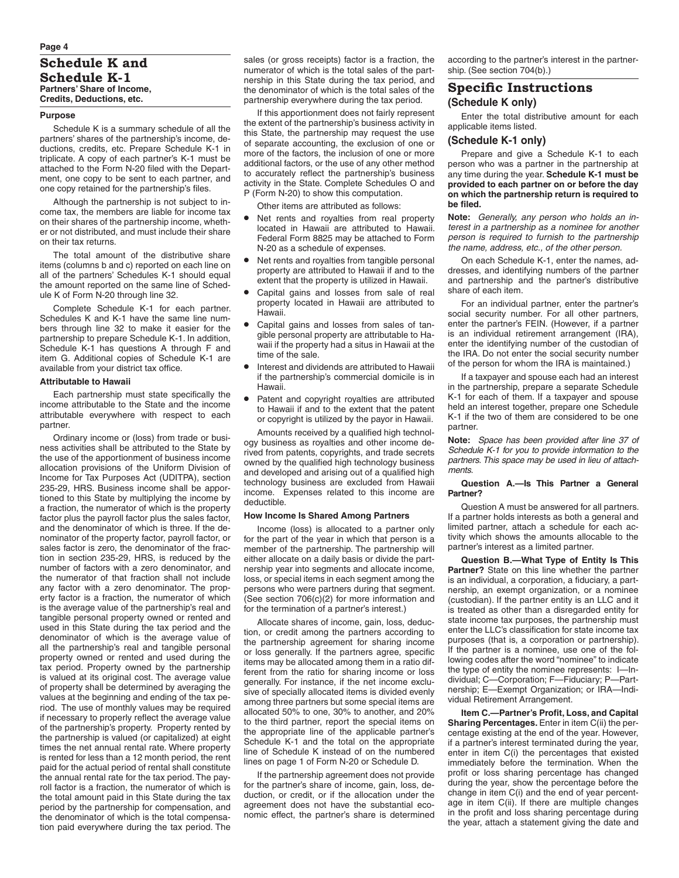#### **Purpose**

Schedule K is a summary schedule of all the partners' shares of the partnership's income, deductions, credits, etc. Prepare Schedule K-1 in triplicate. A copy of each partner's K-1 must be attached to the Form N-20 filed with the Department, one copy to be sent to each partner, and one copy retained for the partnership's files.

Although the partnership is not subject to income tax, the members are liable for income tax on their shares of the partnership income, whether or not distributed, and must include their share on their tax returns.

The total amount of the distributive share items (columns b and c) reported on each line on all of the partners' Schedules K-1 should equal the amount reported on the same line of Schedule K of Form N-20 through line 32.

Complete Schedule K-1 for each partner. Schedules K and K-1 have the same line numbers through line 32 to make it easier for the partnership to prepare Schedule K-1. In addition, Schedule K-1 has questions A through F and item G. Additional copies of Schedule K-1 are available from your district tax office.

### **Attributable to Hawaii**

Each partnership must state specifically the income attributable to the State and the income attributable everywhere with respect to each partner.

Ordinary income or (loss) from trade or business activities shall be attributed to the State by the use of the apportionment of business income allocation provisions of the Uniform Division of Income for Tax Purposes Act (UDITPA), section 235-29, HRS. Business income shall be apportioned to this State by multiplying the income by a fraction, the numerator of which is the property factor plus the payroll factor plus the sales factor, and the denominator of which is three. If the denominator of the property factor, payroll factor, or sales factor is zero, the denominator of the fraction in section 235-29, HRS, is reduced by the number of factors with a zero denominator, and the numerator of that fraction shall not include any factor with a zero denominator. The property factor is a fraction, the numerator of which is the average value of the partnership's real and tangible personal property owned or rented and used in this State during the tax period and the denominator of which is the average value of all the partnership's real and tangible personal property owned or rented and used during the tax period. Property owned by the partnership is valued at its original cost. The average value of property shall be determined by averaging the values at the beginning and ending of the tax period. The use of monthly values may be required if necessary to properly reflect the average value of the partnership's property. Property rented by the partnership is valued (or capitalized) at eight times the net annual rental rate. Where property is rented for less than a 12 month period, the rent paid for the actual period of rental shall constitute the annual rental rate for the tax period. The payroll factor is a fraction, the numerator of which is the total amount paid in this State during the tax period by the partnership for compensation, and the denominator of which is the total compensation paid everywhere during the tax period. The

sales (or gross receipts) factor is a fraction, the numerator of which is the total sales of the partnership in this State during the tax period, and the denominator of which is the total sales of the partnership everywhere during the tax period.

If this apportionment does not fairly represent the extent of the partnership's business activity in this State, the partnership may request the use of separate accounting, the exclusion of one or more of the factors, the inclusion of one or more additional factors, or the use of any other method to accurately reflect the partnership's business activity in the State. Complete Schedules O and P (Form N-20) to show this computation.

Other items are attributed as follows:

- Net rents and royalties from real property located in Hawaii are attributed to Hawaii. Federal Form 8825 may be attached to Form N-20 as a schedule of expenses.
- Net rents and royalties from tangible personal property are attributed to Hawaii if and to the extent that the property is utilized in Hawaii.
- Capital gains and losses from sale of real property located in Hawaii are attributed to Hawaii.
- Capital gains and losses from sales of tangible personal property are attributable to Hawaii if the property had a situs in Hawaii at the time of the sale.
- Interest and dividends are attributed to Hawaii if the partnership's commercial domicile is in Hawaii.
- Patent and copyright royalties are attributed to Hawaii if and to the extent that the patent or copyright is utilized by the payor in Hawaii.

Amounts received by a qualified high technology business as royalties and other income derived from patents, copyrights, and trade secrets owned by the qualified high technology business and developed and arising out of a qualified high technology business are excluded from Hawaii<br>income. Expenses related to this income are  $i$  Expenses related to this income are deductible.

# **How Income Is Shared Among Partners**

Income (loss) is allocated to a partner only for the part of the year in which that person is a member of the partnership. The partnership will either allocate on a daily basis or divide the partnership year into segments and allocate income, loss, or special items in each segment among the persons who were partners during that segment. (See section 706(c)(2) for more information and for the termination of a partner's interest.)

Allocate shares of income, gain, loss, deduction, or credit among the partners according to the partnership agreement for sharing income or loss generally. If the partners agree, specific items may be allocated among them in a ratio different from the ratio for sharing income or loss generally. For instance, if the net income exclusive of specially allocated items is divided evenly among three partners but some special items are allocated 50% to one, 30% to another, and 20% to the third partner, report the special items on the appropriate line of the applicable partner's Schedule K-1 and the total on the appropriate line of Schedule K instead of on the numbered lines on page 1 of Form N-20 or Schedule D.

If the partnership agreement does not provide for the partner's share of income, gain, loss, deduction, or credit, or if the allocation under the agreement does not have the substantial economic effect, the partner's share is determined according to the partner's interest in the partnership. (See section 704(b).)

# **Specific Instructions (Schedule K only)**

Enter the total distributive amount for each applicable items listed.

### **(Schedule K-1 only)**

Prepare and give a Schedule K-1 to each person who was a partner in the partnership at any time during the year. **Schedule K-1 must be provided to each partner on or before the day on which the partnership return is required to be filed.**

**Note:** *Generally, any person who holds an interest in a partnership as a nominee for another person is required to furnish to the partnership the name, address, etc., of the other person.*

On each Schedule K-1, enter the names, addresses, and identifying numbers of the partner and partnership and the partner's distributive share of each item.

For an individual partner, enter the partner's social security number. For all other partners, enter the partner's FEIN. (However, if a partner is an individual retirement arrangement (IRA), enter the identifying number of the custodian of the IRA. Do not enter the social security number of the person for whom the IRA is maintained.)

If a taxpayer and spouse each had an interest in the partnership, prepare a separate Schedule K-1 for each of them. If a taxpayer and spouse held an interest together, prepare one Schedule K-1 if the two of them are considered to be one partner.

**Note:** *Space has been provided after line 37 of Schedule K-1 for you to provide information to the partners. This space may be used in lieu of attachments.*

### **Question A.—Is This Partner a General Partner?**

Question A must be answered for all partners. If a partner holds interests as both a general and limited partner, attach a schedule for each activity which shows the amounts allocable to the partner's interest as a limited partner.

**Question B.—What Type of Entity Is This Partner?** State on this line whether the partner is an individual, a corporation, a fiduciary, a partnership, an exempt organization, or a nominee (custodian). If the partner entity is an LLC and it is treated as other than a disregarded entity for state income tax purposes, the partnership must enter the LLC's classification for state income tax purposes (that is, a corporation or partnership). If the partner is a nominee, use one of the following codes after the word "nominee" to indicate the type of entity the nominee represents: I—Individual; C—Corporation; F—Fiduciary; P—Partnership; E—Exempt Organization; or IRA—Individual Retirement Arrangement.

**Item C.—Partner's Profit, Loss, and Capital Sharing Percentages.** Enter in item C(ii) the percentage existing at the end of the year. However, if a partner's interest terminated during the year, enter in item C(i) the percentages that existed immediately before the termination. When the profit or loss sharing percentage has changed during the year, show the percentage before the change in item C(i) and the end of year percentage in item C(ii). If there are multiple changes in the profit and loss sharing percentage during the year, attach a statement giving the date and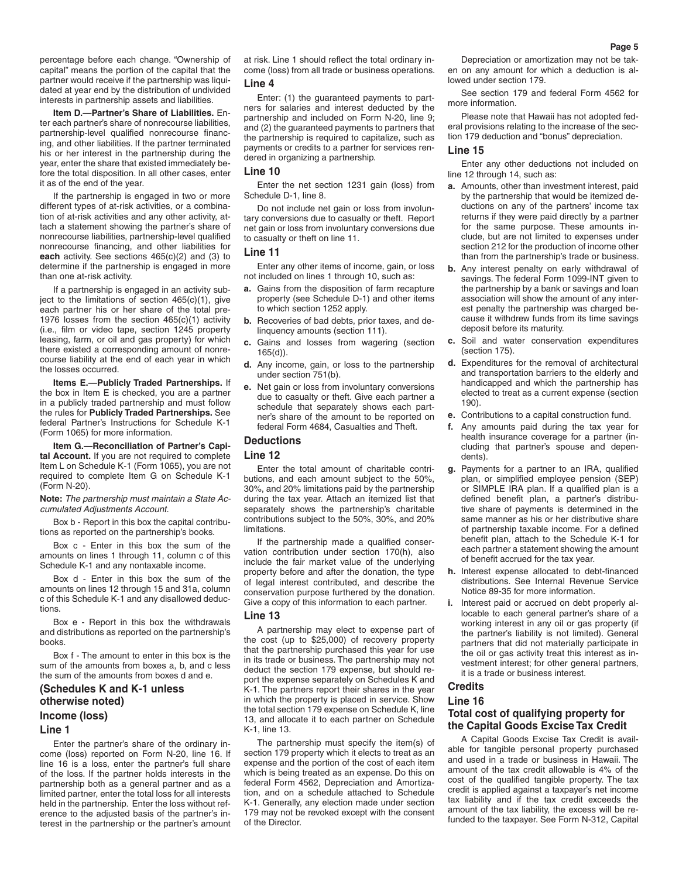percentage before each change. "Ownership of capital" means the portion of the capital that the partner would receive if the partnership was liquidated at year end by the distribution of undivided interests in partnership assets and liabilities.

**Item D.—Partner's Share of Liabilities.** Enter each partner's share of nonrecourse liabilities, partnership-level qualified nonrecourse financing, and other liabilities. If the partner terminated his or her interest in the partnership during the year, enter the share that existed immediately before the total disposition. In all other cases, enter it as of the end of the year.

If the partnership is engaged in two or more different types of at-risk activities, or a combination of at-risk activities and any other activity, attach a statement showing the partner's share of nonrecourse liabilities, partnership-level qualified nonrecourse financing, and other liabilities for **each** activity. See sections 465(c)(2) and (3) to determine if the partnership is engaged in more than one at-risk activity.

If a partnership is engaged in an activity subiect to the limitations of section  $465(c)(1)$ , give each partner his or her share of the total pre-1976 losses from the section 465(c)(1) activity (i.e., film or video tape, section 1245 property leasing, farm, or oil and gas property) for which there existed a corresponding amount of nonrecourse liability at the end of each year in which the losses occurred.

**Items E.—Publicly Traded Partnerships.** If the box in Item E is checked, you are a partner in a publicly traded partnership and must follow the rules for **Publicly Traded Partnerships.** See federal Partner's Instructions for Schedule K-1 (Form 1065) for more information.

**Item G.—Reconciliation of Partner's Capital Account.** If you are not required to complete Item L on Schedule K-1 (Form 1065), you are not required to complete Item G on Schedule K-1 (Form N-20).

**Note:** *The partnership must maintain a State Accumulated Adjustments Account.*

Box b - Report in this box the capital contributions as reported on the partnership's books.

Box c - Enter in this box the sum of the amounts on lines 1 through 11, column c of this Schedule K-1 and any nontaxable income.

Box d - Enter in this box the sum of the amounts on lines 12 through 15 and 31a, column c of this Schedule K-1 and any disallowed deductions.

Box e - Report in this box the withdrawals and distributions as reported on the partnership's books.

Box f - The amount to enter in this box is the sum of the amounts from boxes a, b, and c less the sum of the amounts from boxes d and e.

# **(Schedules K and K-1 unless otherwise noted)**

# **Income (loss)**

### **Line 1**

Enter the partner's share of the ordinary income (loss) reported on Form N-20, line 16. If line 16 is a loss, enter the partner's full share of the loss. If the partner holds interests in the partnership both as a general partner and as a limited partner, enter the total loss for all interests held in the partnership. Enter the loss without reference to the adjusted basis of the partner's interest in the partnership or the partner's amount at risk. Line 1 should reflect the total ordinary income (loss) from all trade or business operations. **Line 4**

Enter: (1) the guaranteed payments to partners for salaries and interest deducted by the partnership and included on Form N-20, line 9; and (2) the guaranteed payments to partners that the partnership is required to capitalize, such as payments or credits to a partner for services rendered in organizing a partnership.

### **Line 10**

Enter the net section 1231 gain (loss) from Schedule D-1, line 8.

Do not include net gain or loss from involuntary conversions due to casualty or theft. Report net gain or loss from involuntary conversions due to casualty or theft on line 11.

#### **Line 11**

Enter any other items of income, gain, or loss not included on lines 1 through 10, such as:

- **a.** Gains from the disposition of farm recapture property (see Schedule D-1) and other items to which section 1252 apply.
- **b.** Recoveries of bad debts, prior taxes, and delinquency amounts (section 111).
- **c.** Gains and losses from wagering (section 165(d)).
- **d.** Any income, gain, or loss to the partnership under section 751(b).
- **e.** Net gain or loss from involuntary conversions due to casualty or theft. Give each partner a schedule that separately shows each partner's share of the amount to be reported on federal Form 4684, Casualties and Theft.

### **Deductions**

# **Line 12**

Enter the total amount of charitable contributions, and each amount subject to the 50%, 30%, and 20% limitations paid by the partnership during the tax year. Attach an itemized list that separately shows the partnership's charitable contributions subject to the 50%, 30%, and 20% limitations.

If the partnership made a qualified conservation contribution under section 170(h), also include the fair market value of the underlying property before and after the donation, the type of legal interest contributed, and describe the conservation purpose furthered by the donation. Give a copy of this information to each partner.

### **Line 13**

A partnership may elect to expense part of the cost (up to \$25,000) of recovery property that the partnership purchased this year for use in its trade or business. The partnership may not deduct the section 179 expense, but should report the expense separately on Schedules K and K-1. The partners report their shares in the year in which the property is placed in service. Show the total section 179 expense on Schedule K, line 13, and allocate it to each partner on Schedule  $K-1$  line 13.

The partnership must specify the item(s) of section 179 property which it elects to treat as an expense and the portion of the cost of each item which is being treated as an expense. Do this on federal Form 4562, Depreciation and Amortization, and on a schedule attached to Schedule K-1. Generally, any election made under section 179 may not be revoked except with the consent of the Director.

Depreciation or amortization may not be taken on any amount for which a deduction is allowed under section 179.

See section 179 and federal Form 4562 for more information.

Please note that Hawaii has not adopted federal provisions relating to the increase of the section 179 deduction and "bonus" depreciation.

### **Line 15**

Enter any other deductions not included on line 12 through 14, such as:

- **a.** Amounts, other than investment interest, paid by the partnership that would be itemized deductions on any of the partners' income tax returns if they were paid directly by a partner for the same purpose. These amounts include, but are not limited to expenses under section 212 for the production of income other than from the partnership's trade or business.
- **b.** Any interest penalty on early withdrawal of savings. The federal Form 1099-INT given to the partnership by a bank or savings and loan association will show the amount of any interest penalty the partnership was charged because it withdrew funds from its time savings deposit before its maturity.
- **c.** Soil and water conservation expenditures (section 175).
- **d.** Expenditures for the removal of architectural and transportation barriers to the elderly and handicapped and which the partnership has elected to treat as a current expense (section 190).
- **e.** Contributions to a capital construction fund.
- **f.** Any amounts paid during the tax year for health insurance coverage for a partner (including that partner's spouse and dependents).
- **g.** Payments for a partner to an IRA, qualified plan, or simplified employee pension (SEP) or SIMPLE IRA plan. If a qualified plan is a defined benefit plan, a partner's distributive share of payments is determined in the same manner as his or her distributive share of partnership taxable income. For a defined benefit plan, attach to the Schedule K-1 for each partner a statement showing the amount of benefit accrued for the tax year.
- **h.** Interest expense allocated to debt-financed distributions. See Internal Revenue Service Notice 89-35 for more information.
- Interest paid or accrued on debt properly allocable to each general partner's share of a working interest in any oil or gas property (if the partner's liability is not limited). General partners that did not materially participate in the oil or gas activity treat this interest as investment interest; for other general partners, it is a trade or business interest.

# **Credits**

### **Line 16**

# **Total cost of qualifying property for the Capital Goods Excise Tax Credit**

A Capital Goods Excise Tax Credit is available for tangible personal property purchased and used in a trade or business in Hawaii. The amount of the tax credit allowable is 4% of the cost of the qualified tangible property. The tax credit is applied against a taxpayer's net income tax liability and if the tax credit exceeds the amount of the tax liability, the excess will be refunded to the taxpayer. See Form N-312, Capital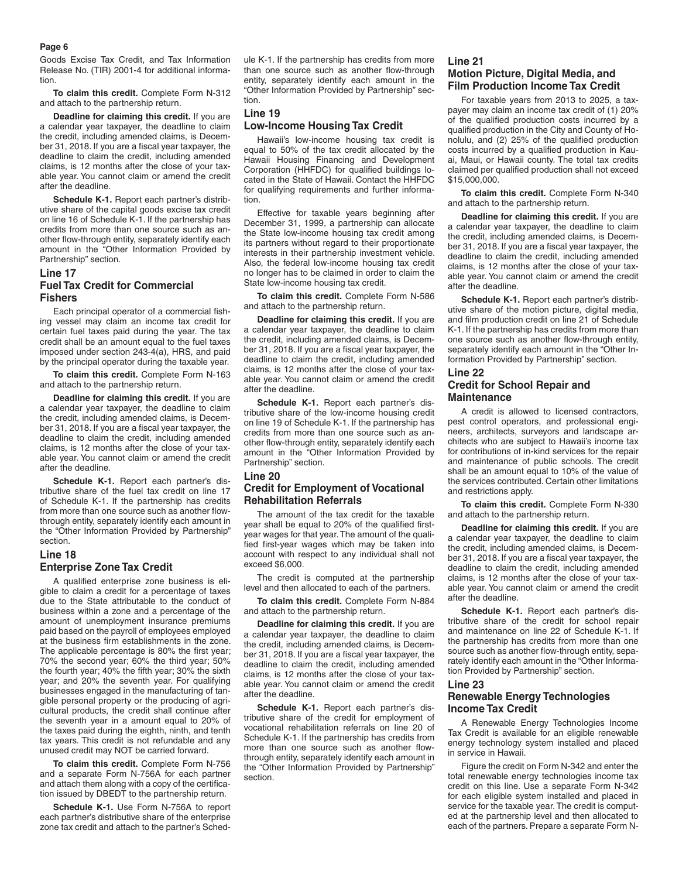#### **Page 6**

Goods Excise Tax Credit, and Tax Information Release No. (TIR) 2001-4 for additional information.

**To claim this credit.** Complete Form N-312 and attach to the partnership return.

**Deadline for claiming this credit.** If you are a calendar year taxpayer, the deadline to claim the credit, including amended claims, is December 31, 2018. If you are a fiscal year taxpayer, the deadline to claim the credit, including amended claims, is 12 months after the close of your taxable year. You cannot claim or amend the credit after the deadline.

**Schedule K-1.** Report each partner's distributive share of the capital goods excise tax credit on line 16 of Schedule K-1. If the partnership has credits from more than one source such as another flow-through entity, separately identify each amount in the "Other Information Provided by Partnership" section.

# **Line 17 Fuel Tax Credit for Commercial Fishers**

Each principal operator of a commercial fishing vessel may claim an income tax credit for certain fuel taxes paid during the year. The tax credit shall be an amount equal to the fuel taxes imposed under section 243-4(a), HRS, and paid by the principal operator during the taxable year.

**To claim this credit.** Complete Form N-163 and attach to the partnership return.

**Deadline for claiming this credit.** If you are a calendar year taxpayer, the deadline to claim the credit, including amended claims, is December 31, 2018. If you are a fiscal year taxpayer, the deadline to claim the credit, including amended claims, is 12 months after the close of your taxable year. You cannot claim or amend the credit after the deadline.

**Schedule K-1.** Report each partner's distributive share of the fuel tax credit on line 17 of Schedule K-1. If the partnership has credits from more than one source such as another flowthrough entity, separately identify each amount in the "Other Information Provided by Partnership" section.

# **Line 18 Enterprise Zone Tax Credit**

A qualified enterprise zone business is eligible to claim a credit for a percentage of taxes due to the State attributable to the conduct of business within a zone and a percentage of the amount of unemployment insurance premiums paid based on the payroll of employees employed at the business firm establishments in the zone. The applicable percentage is 80% the first year; 70% the second year; 60% the third year; 50% the fourth year; 40% the fifth year; 30% the sixth year; and 20% the seventh year. For qualifying businesses engaged in the manufacturing of tangible personal property or the producing of agricultural products, the credit shall continue after the seventh year in a amount equal to 20% of the taxes paid during the eighth, ninth, and tenth tax years. This credit is not refundable and any unused credit may NOT be carried forward.

**To claim this credit.** Complete Form N-756 and a separate Form N-756A for each partner and attach them along with a copy of the certification issued by DBEDT to the partnership return.

**Schedule K-1.** Use Form N-756A to report each partner's distributive share of the enterprise zone tax credit and attach to the partner's Schedule K-1. If the partnership has credits from more than one source such as another flow-through entity, separately identify each amount in the "Other Information Provided by Partnership" section.

# **Line 19**

### **Low-Income Housing Tax Credit**

Hawaii's low-income housing tax credit is equal to 50% of the tax credit allocated by the Hawaii Housing Financing and Development Corporation (HHFDC) for qualified buildings located in the State of Hawaii. Contact the HHFDC for qualifying requirements and further information.

Effective for taxable years beginning after December 31, 1999, a partnership can allocate the State low-income housing tax credit among its partners without regard to their proportionate interests in their partnership investment vehicle. Also, the federal low-income housing tax credit no longer has to be claimed in order to claim the State low-income housing tax credit.

**To claim this credit.** Complete Form N-586 and attach to the partnership return.

**Deadline for claiming this credit.** If you are a calendar year taxpayer, the deadline to claim the credit, including amended claims, is December 31, 2018. If you are a fiscal year taxpayer, the deadline to claim the credit, including amended claims, is 12 months after the close of your taxable year. You cannot claim or amend the credit after the deadline.

**Schedule K-1.** Report each partner's distributive share of the low-income housing credit on line 19 of Schedule K-1. If the partnership has credits from more than one source such as another flow-through entity, separately identify each amount in the "Other Information Provided by Partnership" section.

### **Line 20**

# **Credit for Employment of Vocational Rehabilitation Referrals**

The amount of the tax credit for the taxable year shall be equal to 20% of the qualified firstyear wages for that year. The amount of the qualified first-year wages which may be taken into account with respect to any individual shall not exceed \$6,000.

The credit is computed at the partnership level and then allocated to each of the partners.

**To claim this credit.** Complete Form N-884 and attach to the partnership return.

**Deadline for claiming this credit.** If you are a calendar year taxpayer, the deadline to claim the credit, including amended claims, is December 31, 2018. If you are a fiscal year taxpayer, the deadline to claim the credit, including amended claims, is 12 months after the close of your taxable year. You cannot claim or amend the credit after the deadline.

**Schedule K-1.** Report each partner's distributive share of the credit for employment of vocational rehabilitation referrals on line 20 of Schedule K-1. If the partnership has credits from more than one source such as another flowthrough entity, separately identify each amount in the "Other Information Provided by Partnership" section.

# **Line 21 Motion Picture, Digital Media, and Film Production Income Tax Credit**

For taxable years from 2013 to 2025, a taxpayer may claim an income tax credit of (1) 20% of the qualified production costs incurred by a qualified production in the City and County of Honolulu, and (2) 25% of the qualified production costs incurred by a qualified production in Kauai, Maui, or Hawaii county. The total tax credits claimed per qualified production shall not exceed \$15,000,000.

**To claim this credit.** Complete Form N-340 and attach to the partnership return.

**Deadline for claiming this credit.** If you are a calendar year taxpayer, the deadline to claim the credit, including amended claims, is December 31, 2018. If you are a fiscal year taxpayer, the deadline to claim the credit, including amended claims, is 12 months after the close of your taxable year. You cannot claim or amend the credit after the deadline.

**Schedule K-1.** Report each partner's distributive share of the motion picture, digital media, and film production credit on line 21 of Schedule K-1. If the partnership has credits from more than one source such as another flow-through entity, separately identify each amount in the "Other Information Provided by Partnership" section.

# **Line 22 Credit for School Repair and Maintenance**

A credit is allowed to licensed contractors, pest control operators, and professional engineers, architects, surveyors and landscape architects who are subject to Hawaii's income tax for contributions of in-kind services for the repair and maintenance of public schools. The credit shall be an amount equal to 10% of the value of the services contributed. Certain other limitations and restrictions apply.

**To claim this credit.** Complete Form N-330 and attach to the partnership return.

**Deadline for claiming this credit.** If you are a calendar year taxpayer, the deadline to claim the credit, including amended claims, is December 31, 2018. If you are a fiscal year taxpayer, the deadline to claim the credit, including amended claims, is 12 months after the close of your taxable year. You cannot claim or amend the credit after the deadline.

**Schedule K-1.** Report each partner's distributive share of the credit for school repair and maintenance on line 22 of Schedule K-1. If the partnership has credits from more than one source such as another flow-through entity, separately identify each amount in the "Other Information Provided by Partnership" section.

### **Line 23**

# **Renewable Energy Technologies Income Tax Credit**

A Renewable Energy Technologies Income Tax Credit is available for an eligible renewable energy technology system installed and placed in service in Hawaii.

Figure the credit on Form N-342 and enter the total renewable energy technologies income tax credit on this line. Use a separate Form N-342 for each eligible system installed and placed in service for the taxable year. The credit is computed at the partnership level and then allocated to each of the partners. Prepare a separate Form N-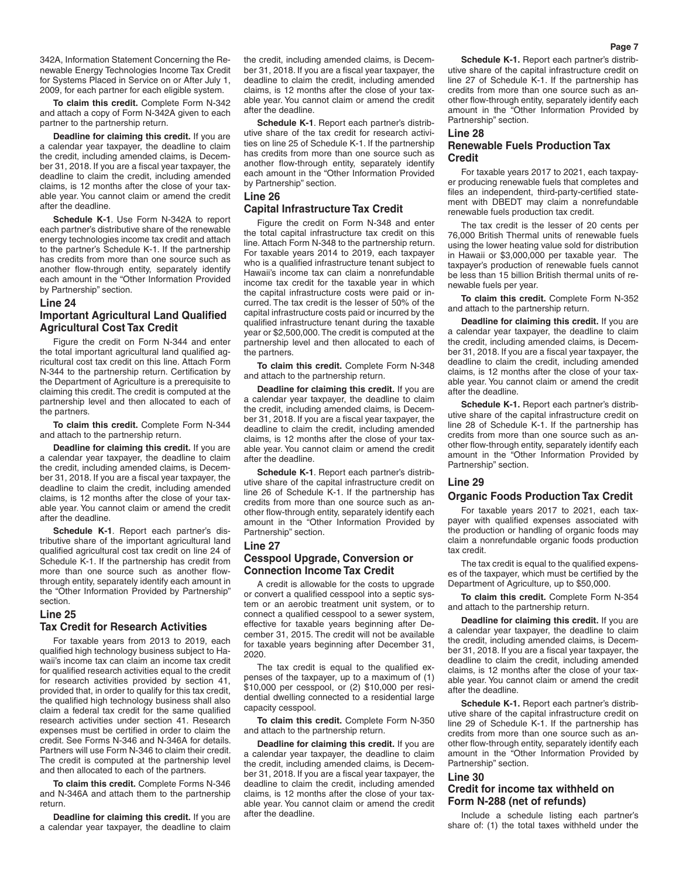342A, Information Statement Concerning the Renewable Energy Technologies Income Tax Credit for Systems Placed in Service on or After July 1, 2009, for each partner for each eligible system.

**To claim this credit.** Complete Form N-342 and attach a copy of Form N-342A given to each partner to the partnership return.

**Deadline for claiming this credit.** If you are a calendar year taxpayer, the deadline to claim the credit, including amended claims, is December 31, 2018. If you are a fiscal year taxpayer, the deadline to claim the credit, including amended claims, is 12 months after the close of your taxable year. You cannot claim or amend the credit after the deadline.

**Schedule K-1**. Use Form N-342A to report each partner's distributive share of the renewable energy technologies income tax credit and attach to the partner's Schedule K-1. If the partnership has credits from more than one source such as another flow-through entity, separately identify each amount in the "Other Information Provided by Partnership" section.

#### **Line 24**

# **Important Agricultural Land Qualified Agricultural Cost Tax Credit**

Figure the credit on Form N-344 and enter the total important agricultural land qualified agricultural cost tax credit on this line. Attach Form N-344 to the partnership return. Certification by the Department of Agriculture is a prerequisite to claiming this credit. The credit is computed at the partnership level and then allocated to each of the partners.

**To claim this credit.** Complete Form N-344 and attach to the partnership return.

**Deadline for claiming this credit.** If you are a calendar year taxpayer, the deadline to claim the credit, including amended claims, is December 31, 2018. If you are a fiscal year taxpayer, the deadline to claim the credit, including amended claims, is 12 months after the close of your taxable year. You cannot claim or amend the credit after the deadline.

**Schedule K-1**. Report each partner's distributive share of the important agricultural land qualified agricultural cost tax credit on line 24 of Schedule K-1. If the partnership has credit from more than one source such as another flowthrough entity, separately identify each amount in the "Other Information Provided by Partnership" section.

### **Line 25**

# **Tax Credit for Research Activities**

For taxable years from 2013 to 2019, each qualified high technology business subject to Hawaii's income tax can claim an income tax credit for qualified research activities equal to the credit for research activities provided by section 41, provided that, in order to qualify for this tax credit, the qualified high technology business shall also claim a federal tax credit for the same qualified research activities under section 41. Research expenses must be certified in order to claim the credit. See Forms N-346 and N-346A for details. Partners will use Form N-346 to claim their credit. The credit is computed at the partnership level and then allocated to each of the partners.

**To claim this credit.** Complete Forms N-346 and N-346A and attach them to the partnership return.

**Deadline for claiming this credit.** If you are a calendar year taxpayer, the deadline to claim

the credit, including amended claims, is December 31, 2018. If you are a fiscal year taxpayer, the deadline to claim the credit, including amended claims, is 12 months after the close of your taxable year. You cannot claim or amend the credit after the deadline.

**Schedule K-1**. Report each partner's distributive share of the tax credit for research activities on line 25 of Schedule K-1. If the partnership has credits from more than one source such as another flow-through entity, separately identify each amount in the "Other Information Provided by Partnership" section.

# **Line 26**

# **Capital Infrastructure Tax Credit**

Figure the credit on Form N-348 and enter the total capital infrastructure tax credit on this line. Attach Form N-348 to the partnership return. For taxable years 2014 to 2019, each taxpayer who is a qualified infrastructure tenant subject to Hawaii's income tax can claim a nonrefundable income tax credit for the taxable year in which the capital infrastructure costs were paid or incurred. The tax credit is the lesser of 50% of the capital infrastructure costs paid or incurred by the qualified infrastructure tenant during the taxable year or \$2,500,000. The credit is computed at the partnership level and then allocated to each of the partners.

**To claim this credit.** Complete Form N-348 and attach to the partnership return.

**Deadline for claiming this credit.** If you are a calendar year taxpayer, the deadline to claim the credit, including amended claims, is December 31, 2018. If you are a fiscal year taxpayer, the deadline to claim the credit, including amended claims, is 12 months after the close of your taxable year. You cannot claim or amend the credit after the deadline.

**Schedule K-1**. Report each partner's distributive share of the capital infrastructure credit on line 26 of Schedule K-1. If the partnership has credits from more than one source such as another flow-through entity, separately identify each amount in the "Other Information Provided by Partnership" section.

# **Line 27 Cesspool Upgrade, Conversion or Connection Income Tax Credit**

A credit is allowable for the costs to upgrade or convert a qualified cesspool into a septic system or an aerobic treatment unit system, or to connect a qualified cesspool to a sewer system, effective for taxable years beginning after December 31, 2015. The credit will not be available for taxable years beginning after December 31, 2020.

The tax credit is equal to the qualified expenses of the taxpayer, up to a maximum of (1) \$10,000 per cesspool, or (2) \$10,000 per residential dwelling connected to a residential large capacity cesspool.

**To claim this credit.** Complete Form N-350 and attach to the partnership return.

**Deadline for claiming this credit.** If you are a calendar year taxpayer, the deadline to claim the credit, including amended claims, is December 31, 2018. If you are a fiscal year taxpayer, the deadline to claim the credit, including amended claims, is 12 months after the close of your taxable year. You cannot claim or amend the credit after the deadline.

**Schedule K-1.** Report each partner's distributive share of the capital infrastructure credit on line 27 of Schedule K-1. If the partnership has credits from more than one source such as another flow-through entity, separately identify each amount in the "Other Information Provided by Partnership" section.

# **Line 28**

# **Renewable Fuels Production Tax Credit**

For taxable years 2017 to 2021, each taxpayer producing renewable fuels that completes and files an independent, third-party-certified statement with DBEDT may claim a nonrefundable renewable fuels production tax credit.

The tax credit is the lesser of 20 cents per 76,000 British Thermal units of renewable fuels using the lower heating value sold for distribution in Hawaii or \$3,000,000 per taxable year. The taxpayer's production of renewable fuels cannot be less than 15 billion British thermal units of renewable fuels per year.

**To claim this credit.** Complete Form N-352 and attach to the partnership return.

**Deadline for claiming this credit.** If you are a calendar year taxpayer, the deadline to claim the credit, including amended claims, is December 31, 2018. If you are a fiscal year taxpayer, the deadline to claim the credit, including amended claims, is 12 months after the close of your taxable year. You cannot claim or amend the credit after the deadline.

**Schedule K-1.** Report each partner's distributive share of the capital infrastructure credit on line 28 of Schedule K-1. If the partnership has credits from more than one source such as another flow-through entity, separately identify each amount in the "Other Information Provided by Partnership" section.

# **Line 29**

# **Organic Foods Production Tax Credit**

For taxable years 2017 to 2021, each taxpayer with qualified expenses associated with the production or handling of organic foods may claim a nonrefundable organic foods production tax credit.

The tax credit is equal to the qualified expenses of the taxpayer, which must be certified by the Department of Agriculture, up to \$50,000.

**To claim this credit.** Complete Form N-354 and attach to the partnership return.

**Deadline for claiming this credit.** If you are a calendar year taxpayer, the deadline to claim the credit, including amended claims, is December 31, 2018. If you are a fiscal year taxpayer, the deadline to claim the credit, including amended claims, is 12 months after the close of your taxable year. You cannot claim or amend the credit after the deadline.

**Schedule K-1.** Report each partner's distributive share of the capital infrastructure credit on line 29 of Schedule K-1. If the partnership has credits from more than one source such as another flow-through entity, separately identify each amount in the "Other Information Provided by Partnership" section.

# **Line 30**

# **Credit for income tax withheld on Form N-288 (net of refunds)**

Include a schedule listing each partner's share of: (1) the total taxes withheld under the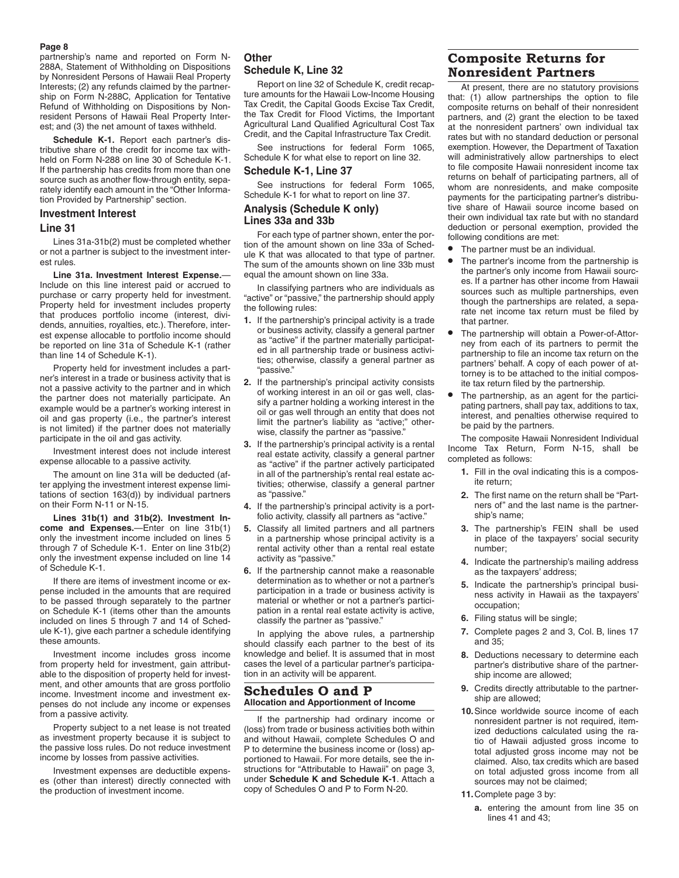#### **Page 8**

partnership's name and reported on Form N-288A, Statement of Withholding on Dispositions by Nonresident Persons of Hawaii Real Property Interests; (2) any refunds claimed by the partnership on Form N-288C, Application for Tentative Refund of Withholding on Dispositions by Nonresident Persons of Hawaii Real Property Interest; and (3) the net amount of taxes withheld.

**Schedule K-1.** Report each partner's distributive share of the credit for income tax withheld on Form N-288 on line 30 of Schedule K-1. If the partnership has credits from more than one source such as another flow-through entity, separately identify each amount in the "Other Information Provided by Partnership" section.

# **Investment Interest**

### **Line 31**

Lines 31a-31b(2) must be completed whether or not a partner is subject to the investment interest rules.

**Line 31a. Investment Interest Expense.**— Include on this line interest paid or accrued to purchase or carry property held for investment. Property held for investment includes property that produces portfolio income (interest, dividends, annuities, royalties, etc.). Therefore, interest expense allocable to portfolio income should be reported on line 31a of Schedule K-1 (rather than line 14 of Schedule K-1).

Property held for investment includes a partner's interest in a trade or business activity that is not a passive activity to the partner and in which the partner does not materially participate. An example would be a partner's working interest in oil and gas property (i.e., the partner's interest is not limited) if the partner does not materially participate in the oil and gas activity.

Investment interest does not include interest expense allocable to a passive activity.

The amount on line 31a will be deducted (after applying the investment interest expense limitations of section 163(d)) by individual partners on their Form N-11 or N-15.

**Lines 31b(1) and 31b(2). Investment Income and Expenses.**—Enter on line 31b(1) only the investment income included on lines 5 through 7 of Schedule K-1. Enter on line 31b(2) only the investment expense included on line 14 of Schedule K-1.

If there are items of investment income or expense included in the amounts that are required to be passed through separately to the partner on Schedule K-1 (items other than the amounts included on lines 5 through 7 and 14 of Schedule K-1), give each partner a schedule identifying these amounts.

Investment income includes gross income from property held for investment, gain attributable to the disposition of property held for investment, and other amounts that are gross portfolio income. Investment income and investment expenses do not include any income or expenses from a passive activity.

Property subject to a net lease is not treated as investment property because it is subject to the passive loss rules. Do not reduce investment income by losses from passive activities.

Investment expenses are deductible expenses (other than interest) directly connected with the production of investment income.

# **Other Schedule K, Line 32**

Report on line 32 of Schedule K, credit recapture amounts for the Hawaii Low-Income Housing Tax Credit, the Capital Goods Excise Tax Credit, the Tax Credit for Flood Victims, the Important Agricultural Land Qualified Agricultural Cost Tax Credit, and the Capital Infrastructure Tax Credit.

See instructions for federal Form 1065, Schedule K for what else to report on line 32.

# **Schedule K-1, Line 37**

See instructions for federal Form 1065, Schedule K-1 for what to report on line 37.

# **Analysis (Schedule K only) Lines 33a and 33b**

For each type of partner shown, enter the portion of the amount shown on line 33a of Schedule K that was allocated to that type of partner. The sum of the amounts shown on line 33b must equal the amount shown on line 33a.

In classifying partners who are individuals as "active" or "passive," the partnership should apply the following rules:

- **1.** If the partnership's principal activity is a trade or business activity, classify a general partner as "active" if the partner materially participated in all partnership trade or business activities; otherwise, classify a general partner as "passive."
- **2.** If the partnership's principal activity consists of working interest in an oil or gas well, classify a partner holding a working interest in the oil or gas well through an entity that does not limit the partner's liability as "active;" otherwise, classify the partner as "passive."
- **3.** If the partnership's principal activity is a rental real estate activity, classify a general partner as "active" if the partner actively participated in all of the partnership's rental real estate activities; otherwise, classify a general partner as "passive."
- **4.** If the partnership's principal activity is a portfolio activity, classify all partners as "active."
- **5.** Classify all limited partners and all partners in a partnership whose principal activity is a rental activity other than a rental real estate activity as "passive."
- **6.** If the partnership cannot make a reasonable determination as to whether or not a partner's participation in a trade or business activity is material or whether or not a partner's participation in a rental real estate activity is active, classify the partner as "passive."

In applying the above rules, a partnership should classify each partner to the best of its knowledge and belief. It is assumed that in most cases the level of a particular partner's participation in an activity will be apparent.

# **Schedules O and P Allocation and Apportionment of Income**

If the partnership had ordinary income or (loss) from trade or business activities both within and without Hawaii, complete Schedules O and P to determine the business income or (loss) apportioned to Hawaii. For more details, see the instructions for "Attributable to Hawaii" on page 3, under **Schedule K and Schedule K-1**. Attach a copy of Schedules O and P to Form N-20.

# **Composite Returns for Nonresident Partners**

At present, there are no statutory provisions that: (1) allow partnerships the option to file composite returns on behalf of their nonresident partners, and (2) grant the election to be taxed at the nonresident partners' own individual tax rates but with no standard deduction or personal exemption. However, the Department of Taxation will administratively allow partnerships to elect to file composite Hawaii nonresident income tax returns on behalf of participating partners, all of whom are nonresidents, and make composite payments for the participating partner's distributive share of Hawaii source income based on their own individual tax rate but with no standard deduction or personal exemption, provided the following conditions are met:

- The partner must be an individual.
- The partner's income from the partnership is the partner's only income from Hawaii sources. If a partner has other income from Hawaii sources such as multiple partnerships, even though the partnerships are related, a separate net income tax return must be filed by that partner.
- The partnership will obtain a Power-of-Attorney from each of its partners to permit the partnership to file an income tax return on the partners' behalf. A copy of each power of attorney is to be attached to the initial composite tax return filed by the partnership.
- The partnership, as an agent for the participating partners, shall pay tax, additions to tax, interest, and penalties otherwise required to be paid by the partners.

The composite Hawaii Nonresident Individual Income Tax Return, Form N-15, shall be completed as follows:

- **1.** Fill in the oval indicating this is a composite return;
- **2.** The first name on the return shall be "Partners of" and the last name is the partnership's name;
- **3.** The partnership's FEIN shall be used in place of the taxpayers' social security number;
- **4.** Indicate the partnership's mailing address as the taxpayers' address;
- **5.** Indicate the partnership's principal business activity in Hawaii as the taxpayers' occupation;
- **6.** Filing status will be single;
- **7.** Complete pages 2 and 3, Col. B, lines 17 and 35;
- **8.** Deductions necessary to determine each partner's distributive share of the partnership income are allowed;
- **9.** Credits directly attributable to the partnership are allowed;
- **10.**Since worldwide source income of each nonresident partner is not required, itemized deductions calculated using the ratio of Hawaii adjusted gross income to total adjusted gross income may not be claimed. Also, tax credits which are based on total adjusted gross income from all sources may not be claimed;
- **11.**Complete page 3 by:
	- **a.** entering the amount from line 35 on lines  $41$  and  $43$ ;